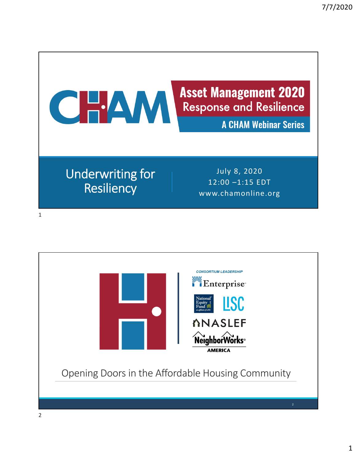

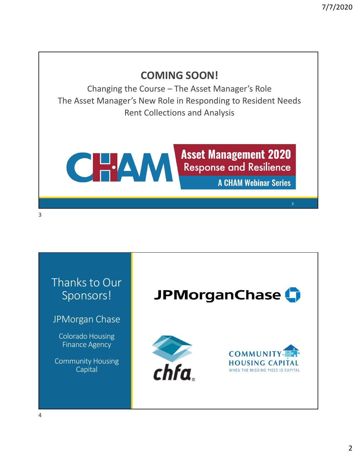## **COMING SOON!**

Changing the Course – The Asset Manager's Role The Asset Manager's New Role in Responding to Resident Needs Rent Collections and Analysis

CHAM

**Asset Management 2020 Response and Resilience** 

**A CHAM Webinar Series** 



3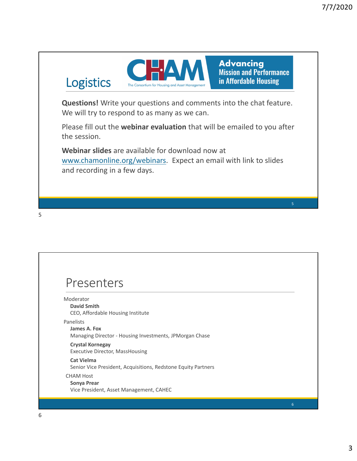

**Advancing Mission and Performance** in Affordable Housing

**Questions!** Write your questions and comments into the chat feature. We will try to respond to as many as we can.

Please fill out the **webinar evaluation** that will be emailed to you after the session.

**Webinar slides** are available for download now at www.chamonline.org/webinars. Expect an email with link to slides and recording in a few days.

## Presenters

Logistics

Moderator **David Smith** CEO, Affordable Housing Institute

Panelists

**James A. Fox** Managing Director ‐ Housing Investments, JPMorgan Chase

**Crystal Kornegay** Executive Director, MassHousing

**Cat Vielma** Senior Vice President, Acquisitions, Redstone Equity Partners CHAM Host

## **Sonya Prear**

Vice President, Asset Management, CAHEC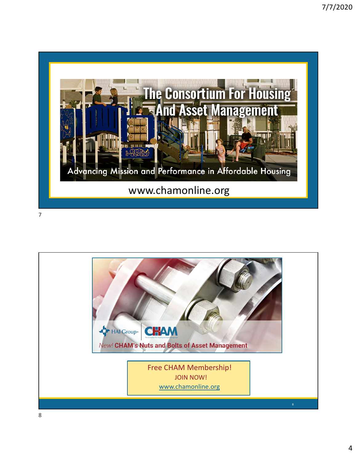